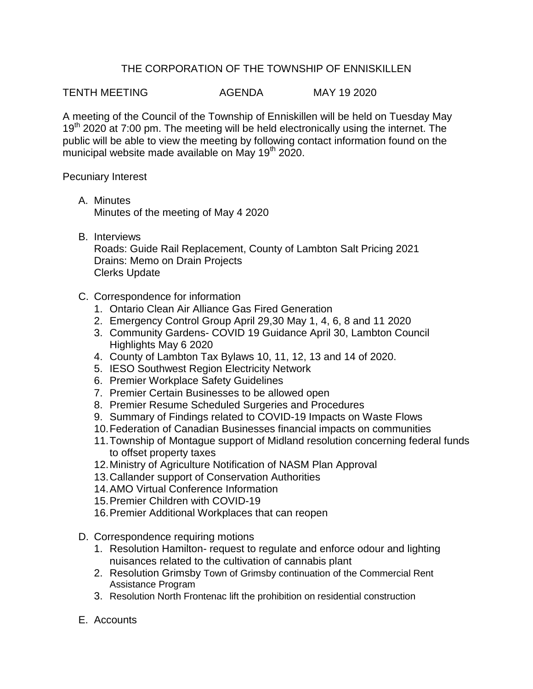## THE CORPORATION OF THE TOWNSHIP OF ENNISKILLEN

TENTH MEETING AGENDA MAY 19 2020

A meeting of the Council of the Township of Enniskillen will be held on Tuesday May 19<sup>th</sup> 2020 at 7:00 pm. The meeting will be held electronically using the internet. The public will be able to view the meeting by following contact information found on the municipal website made available on May  $19<sup>th</sup> 2020$ .

Pecuniary Interest

- A. Minutes Minutes of the meeting of May 4 2020
- B. Interviews

Roads: Guide Rail Replacement, County of Lambton Salt Pricing 2021 Drains: Memo on Drain Projects Clerks Update

- C. Correspondence for information
	- 1. Ontario Clean Air Alliance Gas Fired Generation
	- 2. Emergency Control Group April 29,30 May 1, 4, 6, 8 and 11 2020
	- 3. Community Gardens- COVID 19 Guidance April 30, Lambton Council Highlights May 6 2020
	- 4. County of Lambton Tax Bylaws 10, 11, 12, 13 and 14 of 2020.
	- 5. IESO Southwest Region Electricity Network
	- 6. Premier Workplace Safety Guidelines
	- 7. Premier Certain Businesses to be allowed open
	- 8. Premier Resume Scheduled Surgeries and Procedures
	- 9. Summary of Findings related to COVID-19 Impacts on Waste Flows
	- 10.Federation of Canadian Businesses financial impacts on communities
	- 11.Township of Montague support of Midland resolution concerning federal funds to offset property taxes
	- 12.Ministry of Agriculture Notification of NASM Plan Approval
	- 13.Callander support of Conservation Authorities
	- 14.AMO Virtual Conference Information
	- 15.Premier Children with COVID-19
	- 16.Premier Additional Workplaces that can reopen
- D. Correspondence requiring motions
	- 1. Resolution Hamilton- request to regulate and enforce odour and lighting nuisances related to the cultivation of cannabis plant
	- 2. Resolution Grimsby Town of Grimsby continuation of the Commercial Rent Assistance Program
	- 3. Resolution North Frontenac lift the prohibition on residential construction
- E. Accounts